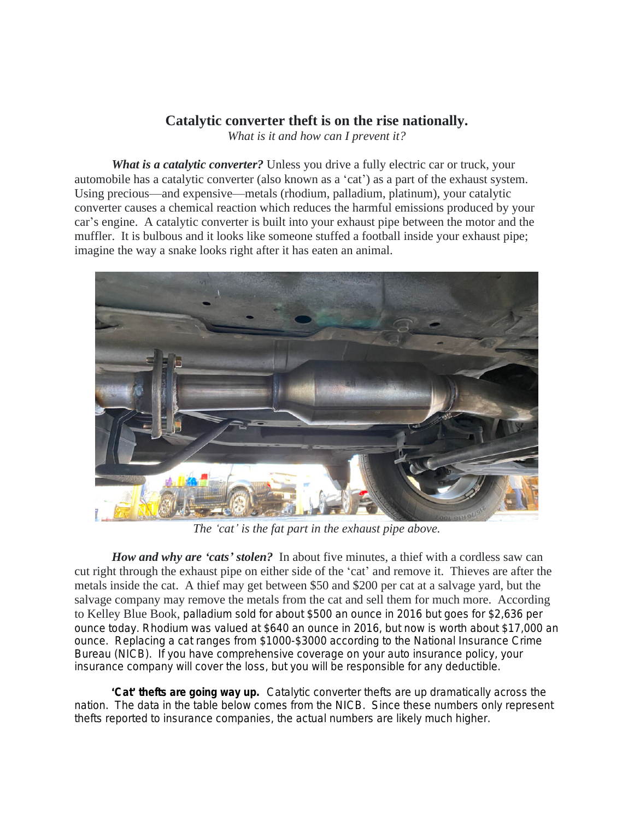## **Catalytic converter theft is on the rise nationally.**

*What is it and how can I prevent it?*

*What is a catalytic converter?* Unless you drive a fully electric car or truck, your automobile has a catalytic converter (also known as a 'cat') as a part of the exhaust system. Using precious—and expensive—metals (rhodium, palladium, platinum), your catalytic converter causes a chemical reaction which reduces the harmful emissions produced by your car's engine. A catalytic converter is built into your exhaust pipe between the motor and the muffler. It is bulbous and it looks like someone stuffed a football inside your exhaust pipe; imagine the way a snake looks right after it has eaten an animal.



*The 'cat' is the fat part in the exhaust pipe above.*

*How and why are 'cats' stolen?* In about five minutes, a thief with a cordless saw can cut right through the exhaust pipe on either side of the 'cat' and remove it. Thieves are after the metals inside the cat. A thief may get between \$50 and \$200 per cat at a salvage yard, but the salvage company may remove the metals from the cat and sell them for much more. According to Kelley Blue Book, palladium sold for about \$500 an ounce in 2016 but goes for \$2,636 per ounce today. Rhodium was valued at \$640 an ounce in 2016, but now is worth about \$17,000 an ounce. Replacing a cat ranges from \$1000-\$3000 according to the National Insurance Crime Bureau (NICB). If you have comprehensive coverage on your auto insurance policy, your insurance company will cover the loss, but you will be responsible for any deductible.

'*Cat*' *thefts are going way up.* Catalytic converter thefts are up dramatically across the nation. The data in the table below comes from the NICB. Since these numbers only represent thefts reported to insurance companies, the actual numbers are likely much higher.